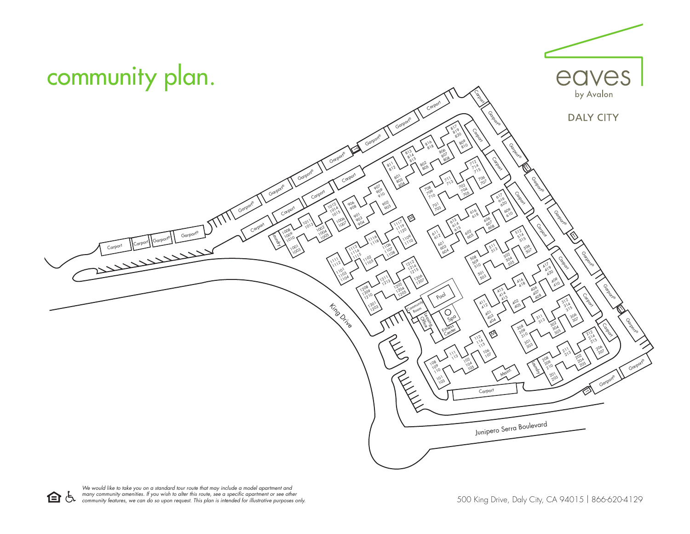